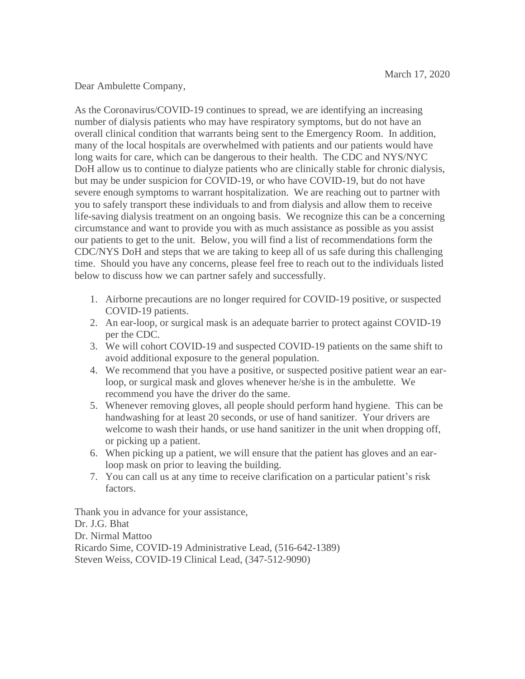Dear Ambulette Company,

As the Coronavirus/COVID-19 continues to spread, we are identifying an increasing number of dialysis patients who may have respiratory symptoms, but do not have an overall clinical condition that warrants being sent to the Emergency Room. In addition, many of the local hospitals are overwhelmed with patients and our patients would have long waits for care, which can be dangerous to their health. The CDC and NYS/NYC DoH allow us to continue to dialyze patients who are clinically stable for chronic dialysis, but may be under suspicion for COVID-19, or who have COVID-19, but do not have severe enough symptoms to warrant hospitalization. We are reaching out to partner with you to safely transport these individuals to and from dialysis and allow them to receive life-saving dialysis treatment on an ongoing basis. We recognize this can be a concerning circumstance and want to provide you with as much assistance as possible as you assist our patients to get to the unit. Below, you will find a list of recommendations form the CDC/NYS DoH and steps that we are taking to keep all of us safe during this challenging time. Should you have any concerns, please feel free to reach out to the individuals listed below to discuss how we can partner safely and successfully.

- 1. Airborne precautions are no longer required for COVID-19 positive, or suspected COVID-19 patients.
- 2. An ear-loop, or surgical mask is an adequate barrier to protect against COVID-19 per the CDC.
- 3. We will cohort COVID-19 and suspected COVID-19 patients on the same shift to avoid additional exposure to the general population.
- 4. We recommend that you have a positive, or suspected positive patient wear an earloop, or surgical mask and gloves whenever he/she is in the ambulette. We recommend you have the driver do the same.
- 5. Whenever removing gloves, all people should perform hand hygiene. This can be handwashing for at least 20 seconds, or use of hand sanitizer. Your drivers are welcome to wash their hands, or use hand sanitizer in the unit when dropping off, or picking up a patient.
- 6. When picking up a patient, we will ensure that the patient has gloves and an earloop mask on prior to leaving the building.
- 7. You can call us at any time to receive clarification on a particular patient's risk factors.

Thank you in advance for your assistance, Dr. J.G. Bhat Dr. Nirmal Mattoo Ricardo Sime, COVID-19 Administrative Lead, (516-642-1389) Steven Weiss, COVID-19 Clinical Lead, (347-512-9090)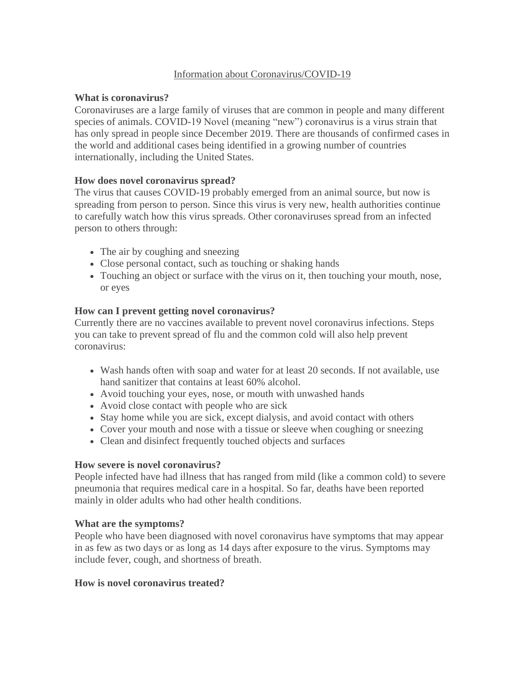# Information about Coronavirus/COVID-19

# **What is coronavirus?**

Coronaviruses are a large family of viruses that are common in people and many different species of animals. COVID-19 Novel (meaning "new") coronavirus is a virus strain that has only spread in people since December 2019. There are thousands of confirmed cases in the world and additional cases being identified in a growing number of countries internationally, including the United States.

# **How does novel coronavirus spread?**

The virus that causes COVID-19 probably emerged from an animal source, but now is spreading from person to person. Since this virus is very new, health authorities continue to carefully watch how this virus spreads. Other coronaviruses spread from an infected person to others through:

- The air by coughing and sneezing
- Close personal contact, such as touching or shaking hands
- Touching an object or surface with the virus on it, then touching your mouth, nose, or eyes

# **How can I prevent getting novel coronavirus?**

Currently there are no vaccines available to prevent novel coronavirus infections. Steps you can take to prevent spread of flu and the common cold will also help prevent coronavirus:

- Wash hands often with soap and water for at least 20 seconds. If not available, use hand sanitizer that contains at least 60% alcohol.
- Avoid touching your eyes, nose, or mouth with unwashed hands
- Avoid close contact with people who are sick
- Stay home while you are sick, except dialysis, and avoid contact with others
- Cover your mouth and nose with a tissue or sleeve when coughing or sneezing
- Clean and disinfect frequently touched objects and surfaces

### **How severe is novel coronavirus?**

People infected have had illness that has ranged from mild (like a common cold) to severe pneumonia that requires medical care in a hospital. So far, deaths have been reported mainly in older adults who had other health conditions.

### **What are the symptoms?**

People who have been diagnosed with novel coronavirus have symptoms that may appear in as few as two days or as long as 14 days after exposure to the virus. Symptoms may include fever, cough, and shortness of breath.

### **How is novel coronavirus treated?**